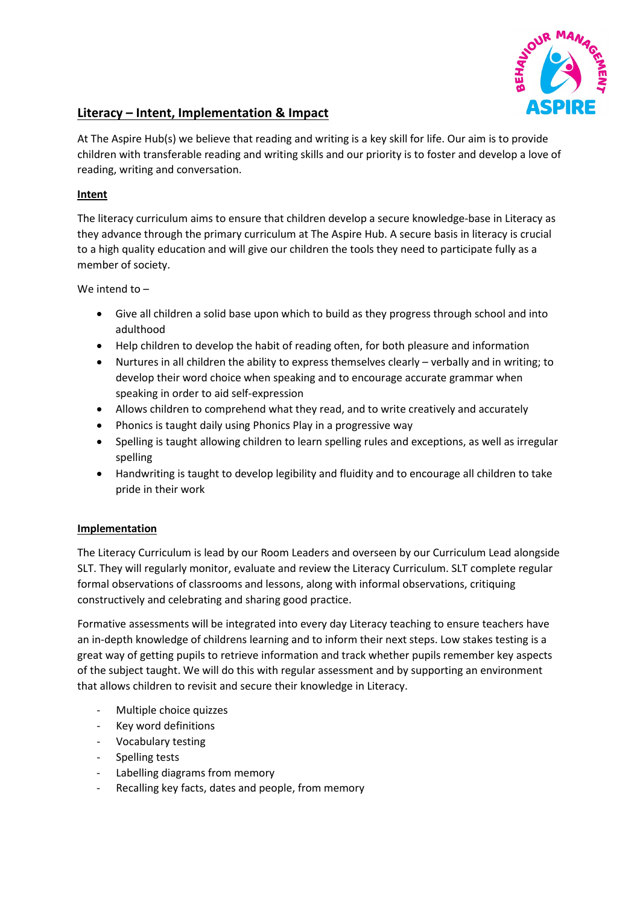

## **Literacy – Intent, Implementation & Impact**

At The Aspire Hub(s) we believe that reading and writing is a key skill for life. Our aim is to provide children with transferable reading and writing skills and our priority is to foster and develop a love of reading, writing and conversation.

## **Intent**

The literacy curriculum aims to ensure that children develop a secure knowledge-base in Literacy as they advance through the primary curriculum at The Aspire Hub. A secure basis in literacy is crucial to a high quality education and will give our children the tools they need to participate fully as a member of society.

We intend to –

- Give all children a solid base upon which to build as they progress through school and into adulthood
- Help children to develop the habit of reading often, for both pleasure and information
- Nurtures in all children the ability to express themselves clearly verbally and in writing; to develop their word choice when speaking and to encourage accurate grammar when speaking in order to aid self-expression
- Allows children to comprehend what they read, and to write creatively and accurately
- Phonics is taught daily using Phonics Play in a progressive way
- Spelling is taught allowing children to learn spelling rules and exceptions, as well as irregular spelling
- Handwriting is taught to develop legibility and fluidity and to encourage all children to take pride in their work

## **Implementation**

The Literacy Curriculum is lead by our Room Leaders and overseen by our Curriculum Lead alongside SLT. They will regularly monitor, evaluate and review the Literacy Curriculum. SLT complete regular formal observations of classrooms and lessons, along with informal observations, critiquing constructively and celebrating and sharing good practice.

Formative assessments will be integrated into every day Literacy teaching to ensure teachers have an in-depth knowledge of childrens learning and to inform their next steps. Low stakes testing is a great way of getting pupils to retrieve information and track whether pupils remember key aspects of the subject taught. We will do this with regular assessment and by supporting an environment that allows children to revisit and secure their knowledge in Literacy.

- Multiple choice quizzes
- Key word definitions
- Vocabulary testing
- Spelling tests
- Labelling diagrams from memory
- Recalling key facts, dates and people, from memory